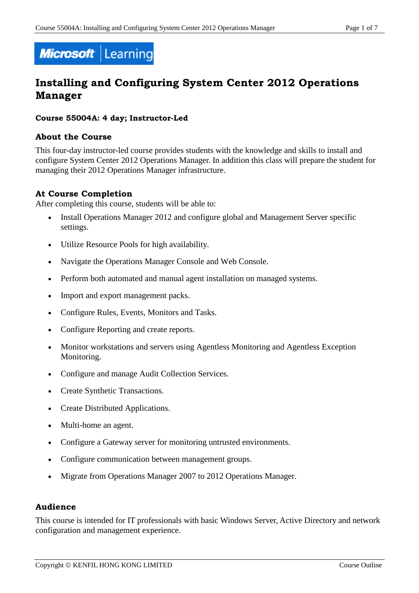

# **Installing and Configuring System Center 2012 Operations Manager**

### **Course 55004A: 4 day; Instructor-Led**

### **About the Course**

This four-day instructor-led course provides students with the knowledge and skills to install and configure System Center 2012 Operations Manager. In addition this class will prepare the student for managing their 2012 Operations Manager infrastructure.

# **At Course Completion**

After completing this course, students will be able to:

- Install Operations Manager 2012 and configure global and Management Server specific settings.
- Utilize Resource Pools for high availability.
- Navigate the Operations Manager Console and Web Console.
- Perform both automated and manual agent installation on managed systems.
- Import and export management packs.
- Configure Rules, Events, Monitors and Tasks.
- Configure Reporting and create reports.
- Monitor workstations and servers using Agentless Monitoring and Agentless Exception Monitoring.
- Configure and manage Audit Collection Services.
- Create Synthetic Transactions.
- Create Distributed Applications.
- Multi-home an agent.
- Configure a Gateway server for monitoring untrusted environments.
- Configure communication between management groups.
- Migrate from Operations Manager 2007 to 2012 Operations Manager.

### **Audience**

This course is intended for IT professionals with basic Windows Server, Active Directory and network configuration and management experience.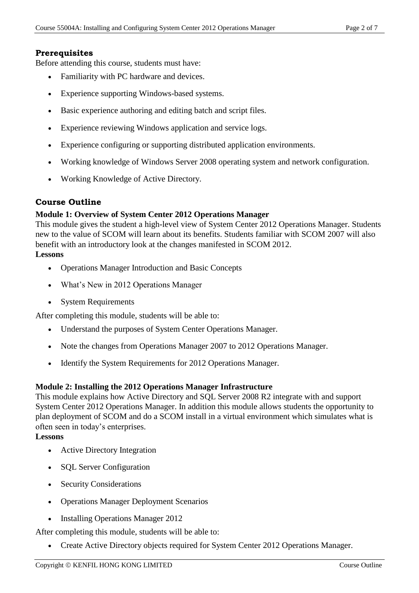# **Prerequisites**

Before attending this course, students must have:

- Familiarity with PC hardware and devices.
- Experience supporting Windows-based systems.
- Basic experience authoring and editing batch and script files.
- Experience reviewing Windows application and service logs.
- Experience configuring or supporting distributed application environments.
- Working knowledge of Windows Server 2008 operating system and network configuration.
- Working Knowledge of Active Directory.

# **Course Outline**

### **Module 1: Overview of System Center 2012 Operations Manager**

This module gives the student a high-level view of System Center 2012 Operations Manager. Students new to the value of SCOM will learn about its benefits. Students familiar with SCOM 2007 will also benefit with an introductory look at the changes manifested in SCOM 2012.

# **Lessons**

- Operations Manager Introduction and Basic Concepts
- What's New in 2012 Operations Manager
- System Requirements

After completing this module, students will be able to:

- Understand the purposes of System Center Operations Manager.
- Note the changes from Operations Manager 2007 to 2012 Operations Manager.
- Identify the System Requirements for 2012 Operations Manager.

### **Module 2: Installing the 2012 Operations Manager Infrastructure**

This module explains how Active Directory and SQL Server 2008 R2 integrate with and support System Center 2012 Operations Manager. In addition this module allows students the opportunity to plan deployment of SCOM and do a SCOM install in a virtual environment which simulates what is often seen in today's enterprises.

### **Lessons**

- Active Directory Integration
- SQL Server Configuration
- Security Considerations
- Operations Manager Deployment Scenarios
- Installing Operations Manager 2012

After completing this module, students will be able to:

• Create Active Directory objects required for System Center 2012 Operations Manager.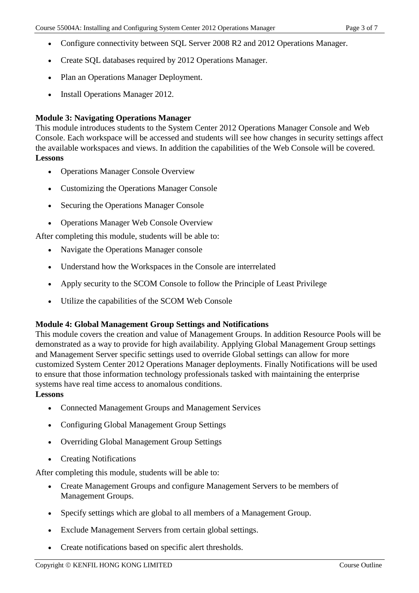- Configure connectivity between SQL Server 2008 R2 and 2012 Operations Manager.
- Create SQL databases required by 2012 Operations Manager.
- Plan an Operations Manager Deployment.
- Install Operations Manager 2012.

# **Module 3: Navigating Operations Manager**

This module introduces students to the System Center 2012 Operations Manager Console and Web Console. Each workspace will be accessed and students will see how changes in security settings affect the available workspaces and views. In addition the capabilities of the Web Console will be covered. **Lessons** 

- Operations Manager Console Overview
- Customizing the Operations Manager Console
- Securing the Operations Manager Console
- Operations Manager Web Console Overview

After completing this module, students will be able to:

- Navigate the Operations Manager console
- Understand how the Workspaces in the Console are interrelated
- Apply security to the SCOM Console to follow the Principle of Least Privilege
- Utilize the capabilities of the SCOM Web Console

### **Module 4: Global Management Group Settings and Notifications**

This module covers the creation and value of Management Groups. In addition Resource Pools will be demonstrated as a way to provide for high availability. Applying Global Management Group settings and Management Server specific settings used to override Global settings can allow for more customized System Center 2012 Operations Manager deployments. Finally Notifications will be used to ensure that those information technology professionals tasked with maintaining the enterprise systems have real time access to anomalous conditions.

### **Lessons**

- Connected Management Groups and Management Services
- Configuring Global Management Group Settings
- Overriding Global Management Group Settings
- Creating Notifications

- Create Management Groups and configure Management Servers to be members of Management Groups.
- Specify settings which are global to all members of a Management Group.
- Exclude Management Servers from certain global settings.
- Create notifications based on specific alert thresholds.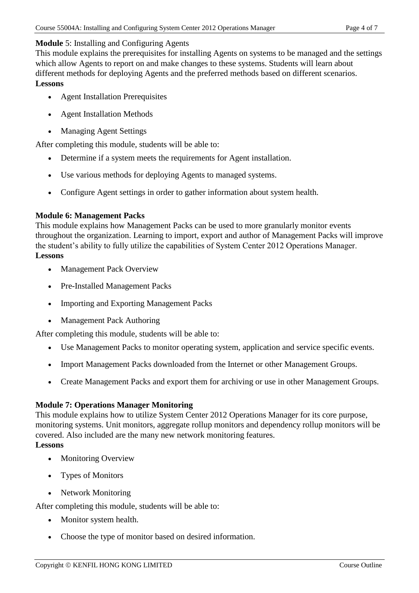### **Module** 5: Installing and Configuring Agents

This module explains the prerequisites for installing Agents on systems to be managed and the settings which allow Agents to report on and make changes to these systems. Students will learn about different methods for deploying Agents and the preferred methods based on different scenarios. **Lessons** 

- Agent Installation Prerequisites
- Agent Installation Methods
- Managing Agent Settings

After completing this module, students will be able to:

- Determine if a system meets the requirements for Agent installation.
- Use various methods for deploying Agents to managed systems.
- Configure Agent settings in order to gather information about system health.

### **Module 6: Management Packs**

This module explains how Management Packs can be used to more granularly monitor events throughout the organization. Learning to import, export and author of Management Packs will improve the student's ability to fully utilize the capabilities of System Center 2012 Operations Manager. **Lessons** 

- Management Pack Overview
- Pre-Installed Management Packs
- Importing and Exporting Management Packs
- Management Pack Authoring

After completing this module, students will be able to:

- Use Management Packs to monitor operating system, application and service specific events.
- Import Management Packs downloaded from the Internet or other Management Groups.
- Create Management Packs and export them for archiving or use in other Management Groups.

### **Module 7: Operations Manager Monitoring**

This module explains how to utilize System Center 2012 Operations Manager for its core purpose, monitoring systems. Unit monitors, aggregate rollup monitors and dependency rollup monitors will be covered. Also included are the many new network monitoring features. **Lessons** 

- Monitoring Overview
- Types of Monitors
- Network Monitoring

- Monitor system health.
- Choose the type of monitor based on desired information.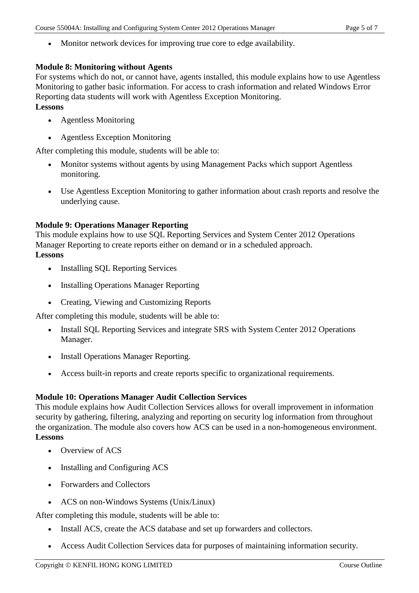Monitor network devices for improving true core to edge availability.

### **Module 8: Monitoring without Agents**

For systems which do not, or cannot have, agents installed, this module explains how to use Agentless Monitoring to gather basic information. For access to crash information and related Windows Error Reporting data students will work with Agentless Exception Monitoring.

# **Lessons**

- Agentless Monitoring
- Agentless Exception Monitoring

After completing this module, students will be able to:

- Monitor systems without agents by using Management Packs which support Agentless monitoring.
- Use Agentless Exception Monitoring to gather information about crash reports and resolve the underlying cause.

# **Module 9: Operations Manager Reporting**

This module explains how to use SQL Reporting Services and System Center 2012 Operations Manager Reporting to create reports either on demand or in a scheduled approach.

# **Lessons**

- Installing SQL Reporting Services
- Installing Operations Manager Reporting
- Creating, Viewing and Customizing Reports

After completing this module, students will be able to:

- Install SQL Reporting Services and integrate SRS with System Center 2012 Operations Manager.
- Install Operations Manager Reporting.
- Access built-in reports and create reports specific to organizational requirements.

### **Module 10: Operations Manager Audit Collection Services**

This module explains how Audit Collection Services allows for overall improvement in information security by gathering, filtering, analyzing and reporting on security log information from throughout the organization. The module also covers how ACS can be used in a non-homogeneous environment. **Lessons** 

- Overview of ACS
- Installing and Configuring ACS
- Forwarders and Collectors
- ACS on non-Windows Systems (Unix/Linux)

- Install ACS, create the ACS database and set up forwarders and collectors.
- Access Audit Collection Services data for purposes of maintaining information security.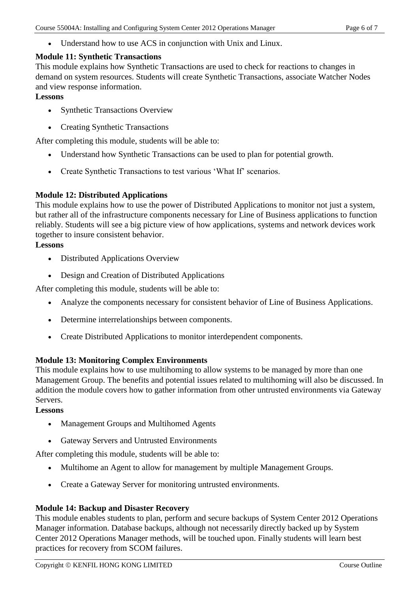Understand how to use ACS in conjunction with Unix and Linux.

# **Module 11: Synthetic Transactions**

This module explains how Synthetic Transactions are used to check for reactions to changes in demand on system resources. Students will create Synthetic Transactions, associate Watcher Nodes and view response information.

### **Lessons**

- Synthetic Transactions Overview
- Creating Synthetic Transactions

After completing this module, students will be able to:

- Understand how Synthetic Transactions can be used to plan for potential growth.
- Create Synthetic Transactions to test various 'What If' scenarios.

# **Module 12: Distributed Applications**

This module explains how to use the power of Distributed Applications to monitor not just a system, but rather all of the infrastructure components necessary for Line of Business applications to function reliably. Students will see a big picture view of how applications, systems and network devices work together to insure consistent behavior.

# **Lessons**

- Distributed Applications Overview
- Design and Creation of Distributed Applications

After completing this module, students will be able to:

- Analyze the components necessary for consistent behavior of Line of Business Applications.
- Determine interrelationships between components.
- Create Distributed Applications to monitor interdependent components.

# **Module 13: Monitoring Complex Environments**

This module explains how to use multihoming to allow systems to be managed by more than one Management Group. The benefits and potential issues related to multihoming will also be discussed. In addition the module covers how to gather information from other untrusted environments via Gateway Servers.

# **Lessons**

- Management Groups and Multihomed Agents
- Gateway Servers and Untrusted Environments

After completing this module, students will be able to:

- Multihome an Agent to allow for management by multiple Management Groups.
- Create a Gateway Server for monitoring untrusted environments.

# **Module 14: Backup and Disaster Recovery**

This module enables students to plan, perform and secure backups of System Center 2012 Operations Manager information. Database backups, although not necessarily directly backed up by System Center 2012 Operations Manager methods, will be touched upon. Finally students will learn best practices for recovery from SCOM failures.